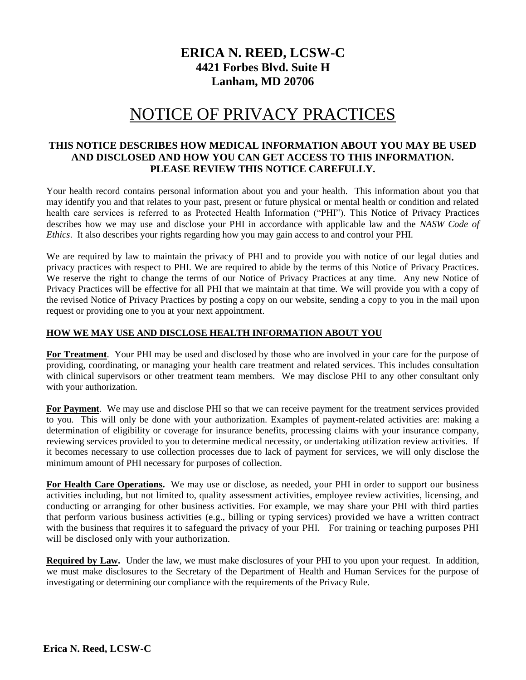# **ERICA N. REED, LCSW-C 4421 Forbes Blvd. Suite H Lanham, MD 20706**

# NOTICE OF PRIVACY PRACTICES

## **THIS NOTICE DESCRIBES HOW MEDICAL INFORMATION ABOUT YOU MAY BE USED AND DISCLOSED AND HOW YOU CAN GET ACCESS TO THIS INFORMATION. PLEASE REVIEW THIS NOTICE CAREFULLY.**

Your health record contains personal information about you and your health. This information about you that may identify you and that relates to your past, present or future physical or mental health or condition and related health care services is referred to as Protected Health Information ("PHI"). This Notice of Privacy Practices describes how we may use and disclose your PHI in accordance with applicable law and the *NASW Code of Ethics*. It also describes your rights regarding how you may gain access to and control your PHI.

We are required by law to maintain the privacy of PHI and to provide you with notice of our legal duties and privacy practices with respect to PHI. We are required to abide by the terms of this Notice of Privacy Practices. We reserve the right to change the terms of our Notice of Privacy Practices at any time. Any new Notice of Privacy Practices will be effective for all PHI that we maintain at that time. We will provide you with a copy of the revised Notice of Privacy Practices by posting a copy on our website, sending a copy to you in the mail upon request or providing one to you at your next appointment.

#### **HOW WE MAY USE AND DISCLOSE HEALTH INFORMATION ABOUT YOU**

**For Treatment**.Your PHI may be used and disclosed by those who are involved in your care for the purpose of providing, coordinating, or managing your health care treatment and related services. This includes consultation with clinical supervisors or other treatment team members. We may disclose PHI to any other consultant only with your authorization.

**For Payment**. We may use and disclose PHI so that we can receive payment for the treatment services provided to you. This will only be done with your authorization. Examples of payment-related activities are: making a determination of eligibility or coverage for insurance benefits, processing claims with your insurance company, reviewing services provided to you to determine medical necessity, or undertaking utilization review activities. If it becomes necessary to use collection processes due to lack of payment for services, we will only disclose the minimum amount of PHI necessary for purposes of collection.

**For Health Care Operations.** We may use or disclose, as needed, your PHI in order to support our business activities including, but not limited to, quality assessment activities, employee review activities, licensing, and conducting or arranging for other business activities. For example, we may share your PHI with third parties that perform various business activities (e.g., billing or typing services) provided we have a written contract with the business that requires it to safeguard the privacy of your PHI. For training or teaching purposes PHI will be disclosed only with your authorization.

**Required by Law.** Under the law, we must make disclosures of your PHI to you upon your request. In addition, we must make disclosures to the Secretary of the Department of Health and Human Services for the purpose of investigating or determining our compliance with the requirements of the Privacy Rule.